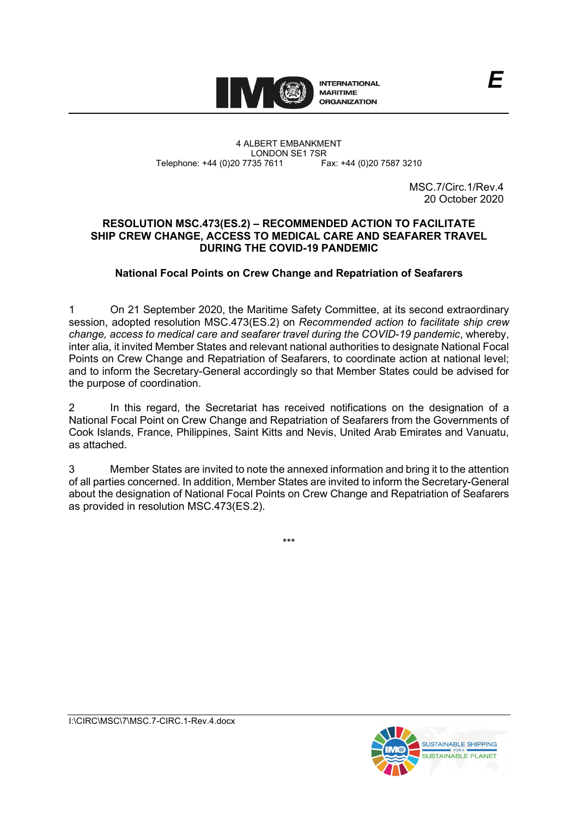

#### 4 ALBERT EMBANKMENT LONDON SE1 7SR<br>735 7611 Fax: +44 (0)20 7587 3210 Telephone: +44 (0)20 7735 7611

MSC.7/Circ.1/Rev.4 20 October 2020

## **RESOLUTION MSC.473(ES.2) – RECOMMENDED ACTION TO FACILITATE SHIP CREW CHANGE, ACCESS TO MEDICAL CARE AND SEAFARER TRAVEL DURING THE COVID-19 PANDEMIC**

# **National Focal Points on Crew Change and Repatriation of Seafarers**

1 On 21 September 2020, the Maritime Safety Committee, at its second extraordinary session, adopted resolution MSC.473(ES.2) on *Recommended action to facilitate ship crew change, access to medical care and seafarer travel during the COVID-19 pandemic*, whereby, inter alia, it invited Member States and relevant national authorities to designate National Focal Points on Crew Change and Repatriation of Seafarers, to coordinate action at national level; and to inform the Secretary-General accordingly so that Member States could be advised for the purpose of coordination.

2 In this regard, the Secretariat has received notifications on the designation of a National Focal Point on Crew Change and Repatriation of Seafarers from the Governments of Cook Islands, France, Philippines, Saint Kitts and Nevis, United Arab Emirates and Vanuatu, as attached.

3 Member States are invited to note the annexed information and bring it to the attention of all parties concerned. In addition, Member States are invited to inform the Secretary-General about the designation of National Focal Points on Crew Change and Repatriation of Seafarers as provided in resolution MSC.473(ES.2).

\*\*\*

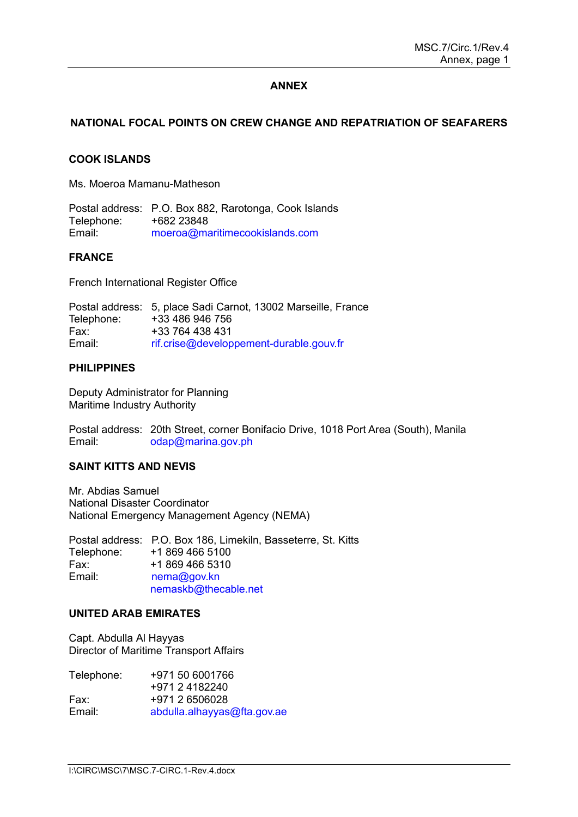## **ANNEX**

## **NATIONAL FOCAL POINTS ON CREW CHANGE AND REPATRIATION OF SEAFARERS**

### **COOK ISLANDS**

Ms. Moeroa Mamanu-Matheson

Postal address: P.O. Box 882, Rarotonga, Cook Islands Telephone: +682 23848<br>Email: moeroa@ma moeroa@maritimecookislands.com

## **FRANCE**

French International Register Office

Postal address: 5, place Sadi Carnot, 13002 Marseille, France Telephone: +33 486 946 756<br>Fax: +33 764 438 431 Fax: +33 764 438 431<br>Email:  $\frac{1}{2}$  rif.crise@develop [rif.crise@developpement-durable.gouv.fr](mailto:rif.crise@developpement-durable.gouv.fr)

### **PHILIPPINES**

Deputy Administrator for Planning Maritime Industry Authority

Postal address: 20th Street, corner Bonifacio Drive, 1018 Port Area (South), Manila<br>Email:  $\frac{\text{odap}(\partial \text{marina.gov}, \text{ph})}{\text{odap}(\partial \text{marina.gov}, \text{ph})}$ odap@marina.gov.ph

### **SAINT KITTS AND NEVIS**

Mr. Abdias Samuel National Disaster Coordinator National Emergency Management Agency (NEMA)

Postal address: P.O. Box 186, Limekiln, Basseterre, St. Kitts Telephone: Fax: +1 869 466 5310 Email: [nema@gov.kn](mailto:nema@gov.kn) [nemaskb@thecable.net](mailto:nemaskb@thecable.net)

## **UNITED ARAB EMIRATES**

Capt. Abdulla Al Hayyas Director of Maritime Transport Affairs

| Telephone: | +971 50 6001766             |
|------------|-----------------------------|
|            | +971 2 4182240              |
| Fax:       | +971 2 6506028              |
| Email:     | abdulla.alhayyas@fta.gov.ae |